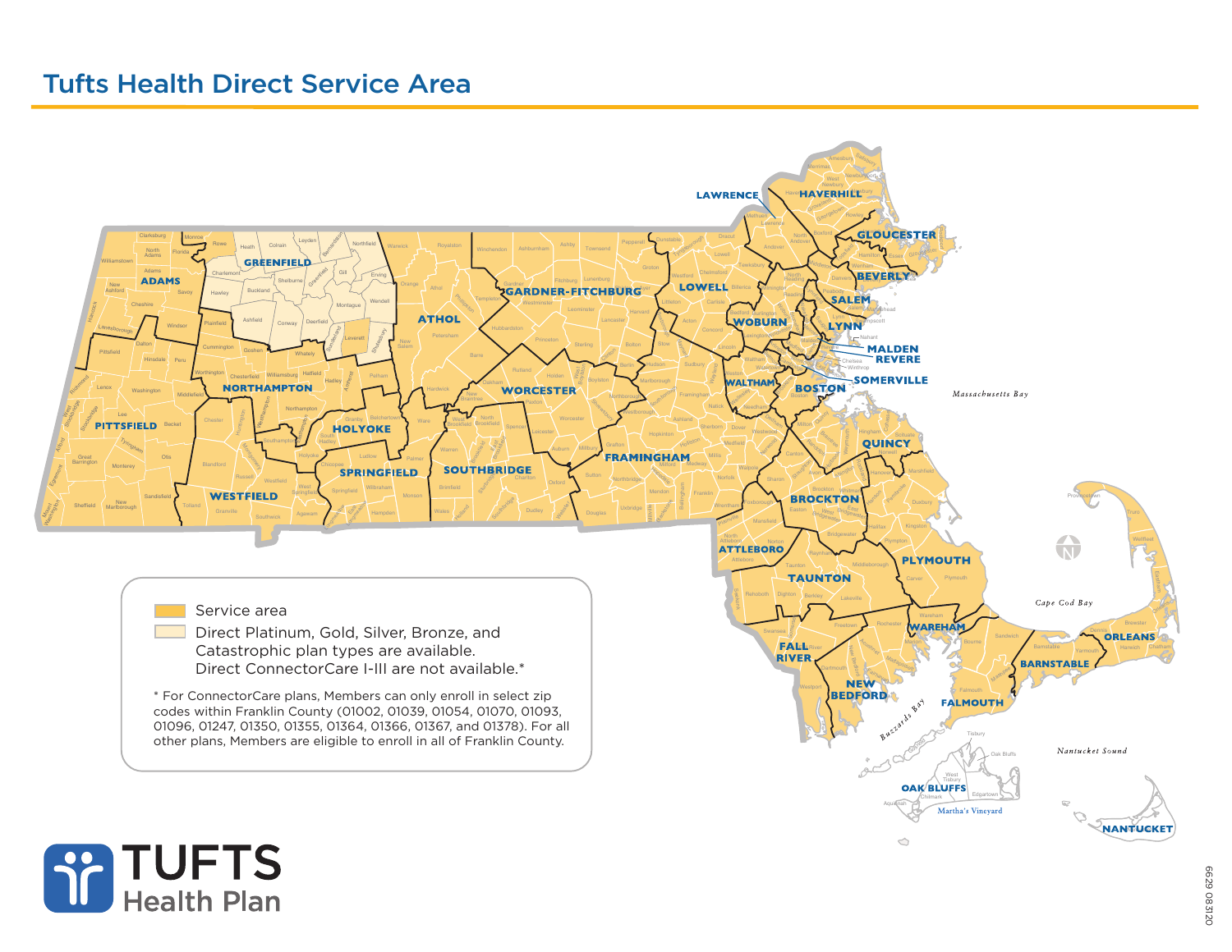# Tufts Health Direct Service Area